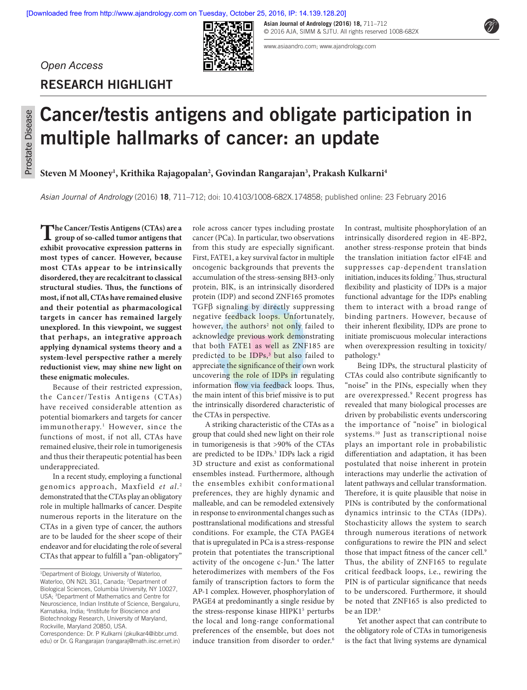**Asian Journal of Andrology (2016) 18,** 711–712 © 2016 AJA, SIMM & SJTU. All rights reserved 1008-682X

www.asiaandro.com; www.ajandrology.com

# *Open Access*

**RESEARCH HIGHLIGHT**

# **Cancer/testis antigens and obligate participation in multiple hallmarks of cancer: an update**

Iп

**Steven M Mooney1 , Krithika Rajagopalan2 , Govindan Rangarajan3 , Prakash Kulkarni4**

*Asian Journal of Andrology* (2016) **18**, 711–712; doi: 10.4103/1008-682X.174858; published online: 23 February 2016

**The Cancer/Testis Antigens (CTAs) are a group of so‑called tumor antigens that exhibit provocative expression patterns in most types of cancer. However, because most CTAs appear to be intrinsically disordered, they are recalcitrant to classical structural studies. Thus, the functions of most, if not all, CTAs have remained elusive and their potential as pharmacological targets in cancer has remained largely unexplored. In this viewpoint, we suggest that perhaps, an integrative approach applying dynamical systems theory and a system‑level perspective rather a merely reductionist view, may shine new light on these enigmatic molecules.**

Because of their restricted expression, the Cancer/Testis Antigens (CTAs) have received considerable attention as potential biomarkers and targets for cancer immunotherapy.<sup>1</sup> However, since the functions of most, if not all, CTAs have remained elusive, their role in tumorigenesis and thus their therapeutic potential has been underappreciated.

In a recent study, employing a functional genomics approach, Maxfield *et al*. 2 demonstrated that the CTAs play an obligatory role in multiple hallmarks of cancer. Despite numerous reports in the literature on the CTAs in a given type of cancer, the authors are to be lauded for the sheer scope of their endeavor and for elucidating the role of several CTAs that appear to fulfill a "pan‑obligatory" role across cancer types including prostate cancer (PCa). In particular, two observations from this study are especially significant. First, FATE1, a key survival factor in multiple oncogenic backgrounds that prevents the accumulation of the stress‑sensing BH3‑only protein, BIK, is an intrinsically disordered protein (IDP) and second ZNF165 promotes TGFβ signaling by directly suppressing negative feedback loops. Unfortunately, however, the authors<sup>2</sup> not only failed to acknowledge previous work demonstrating that both FATE1 as well as ZNF185 are predicted to be IDPs,<sup>3</sup> but also failed to appreciate the significance of their own work uncovering the role of IDPs in regulating information flow via feedback loops. Thus, the main intent of this brief missive is to put the intrinsically disordered characteristic of the CTAs in perspective.

A striking characteristic of the CTAs as a group that could shed new light on their role in tumorigenesis is that >90% of the CTAs are predicted to be IDPs.<sup>3</sup> IDPs lack a rigid 3D structure and exist as conformational ensembles instead. Furthermore, although the ensembles exhibit conformational preferences, they are highly dynamic and malleable, and can be remodeled extensively in response to environmental changes such as posttranslational modifications and stressful conditions. For example, the CTA PAGE4 that is upregulated in PCa is a stress‑response protein that potentiates the transcriptional activity of the oncogene c-Jun.<sup>4</sup> The latter heterodimerizes with members of the Fos family of transcription factors to form the AP-1 complex. However, phosphorylation of PAGE4 at predominantly a single residue by the stress-response kinase HIPK1<sup>5</sup> perturbs the local and long‑range conformational preferences of the ensemble, but does not induce transition from disorder to order.<sup>6</sup>

In contrast, multisite phosphorylation of an intrinsically disordered region in 4E‑BP2, another stress‑response protein that binds the translation initiation factor eIF4E and suppresses cap‑dependent translation initiation, induces its folding.<sup>7</sup> Thus, structural flexibility and plasticity of IDPs is a major functional advantage for the IDPs enabling them to interact with a broad range of binding partners. However, because of their inherent flexibility, IDPs are prone to initiate promiscuous molecular interactions when overexpression resulting in toxicity/ pathology.8

Being IDPs, the structural plasticity of CTAs could also contribute significantly to "noise" in the PINs, especially when they are overexpressed.9 Recent progress has revealed that many biological processes are driven by probabilistic events underscoring the importance of "noise" in biological systems.10 Just as transcriptional noise plays an important role in probabilistic differentiation and adaptation, it has been postulated that noise inherent in protein interactions may underlie the activation of latent pathways and cellular transformation. Therefore, it is quite plausible that noise in PINs is contributed by the conformational dynamics intrinsic to the CTAs (IDPs). Stochasticity allows the system to search through numerous iterations of network configurations to rewire the PIN and select those that impact fitness of the cancer cell.<sup>9</sup> Thus, the ability of ZNF165 to regulate critical feedback loops, i.e., rewiring the PIN is of particular significance that needs to be underscored. Furthermore, it should be noted that ZNF165 is also predicted to be an IDP.<sup>3</sup>

Yet another aspect that can contribute to the obligatory role of CTAs in tumorigenesis is the fact that living systems are dynamical



<sup>1</sup> Department of Biology, University of Waterloo, Waterloo, ON N2L 3G1, Canada; <sup>2</sup>Department of Biological Sciences, Columbia University, NY 10027, USA; 3 Department of Mathematics and Centre for Neuroscience, Indian Institute of Science, Bengaluru, Karnataka, India; 4 Institute for Bioscience and Biotechnology Research, University of Maryland, Rockville, Maryland 20850, USA.

Correspondence: Dr. P Kulkarni (pkulkar4@ibbr.umd. edu) or Dr. G Rangarajan (rangaraj@math.iisc.ernet.in)